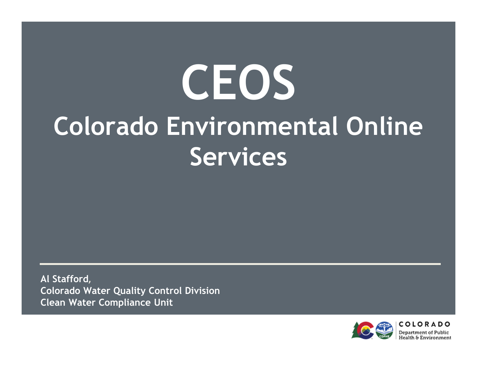# CEOSColorado Environmental Online Services

Al Stafford,Colorado Water Quality Control DivisionClean Water Compliance Unit

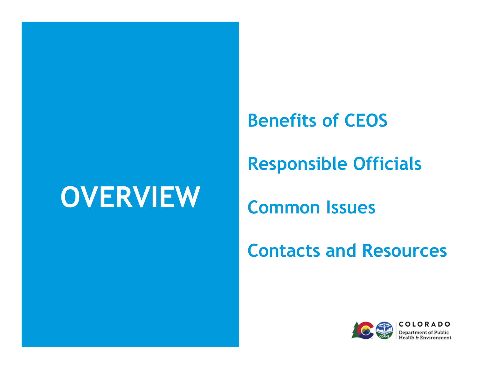### **OVERVIEW**

Benefits of CEOS

Responsible Officials

Common Issues

Contacts and Resources

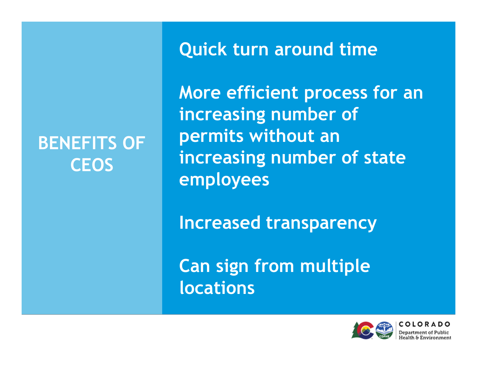### BENEFITS OF **CEOS**

Quick turn around time

More efficient process for an increasing number of permits without an increasing number of state employees

Increased transparency

Can sign from multiple locations



0 I O R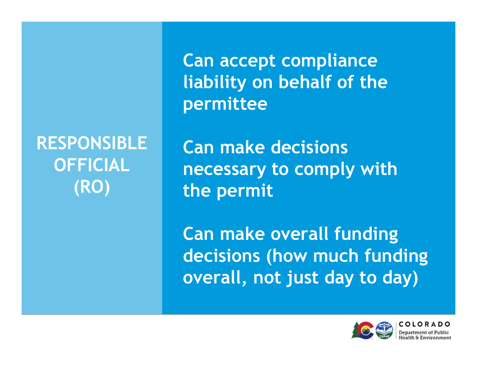RESPONSIBLE OFFICIAL(RO)

Can accept compliance liability on behalf of the permittee

Can make decisions necessary to comply with the permit

Can make overall funding decisions (how much funding overall, not just day to day)

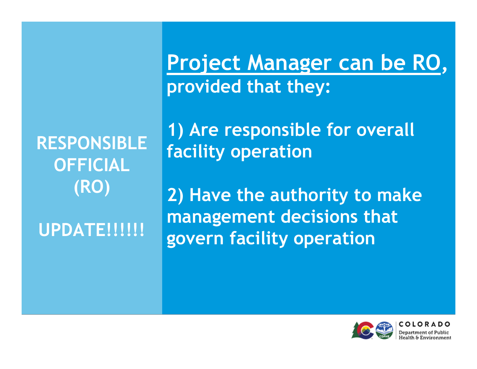RESPONSIBLE OFFICIAL(RO)

**UPDATE!!!!!!** 

Project Manager can be RO, provided that they:

1) Are responsible for overall facility operation

2) Have the authority to make management decisions that govern facility operation

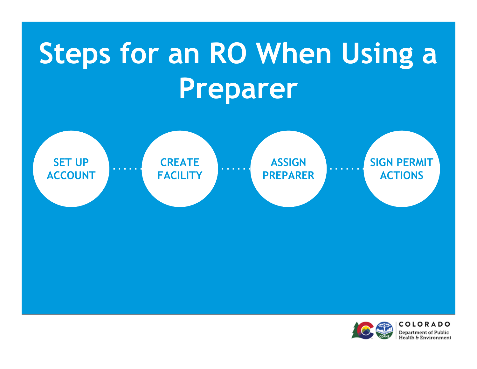## Steps for an RO When Using a Preparer



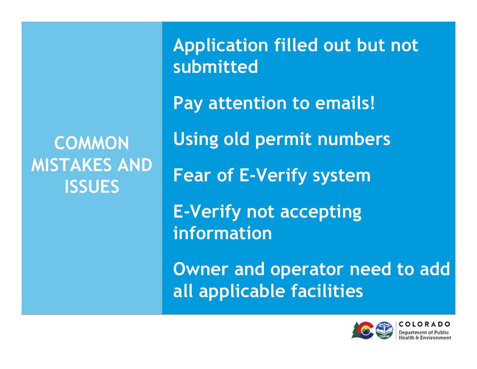### **COMMON** MISTAKES AND **ISSUES**

Application filled out but not submittedPay attention to emails!Using old permit numbersFear of E-Verify systemE-Verify not accepting informationOwner and operator need to add

all applicable facilities



OLOR Department of Publ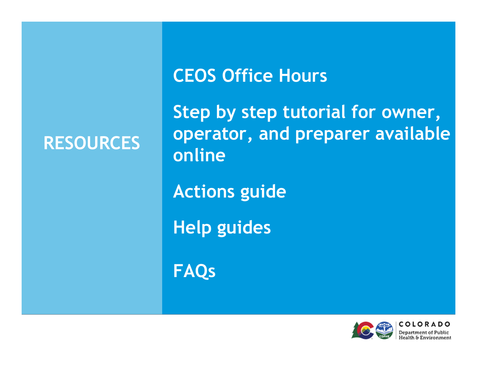### RESOURCES

### CEOS Office Hours

Step by step tutorial for owner, operator, and preparer available online

Actions guide

Help guides

FAQs



COLORA **Department of Public**